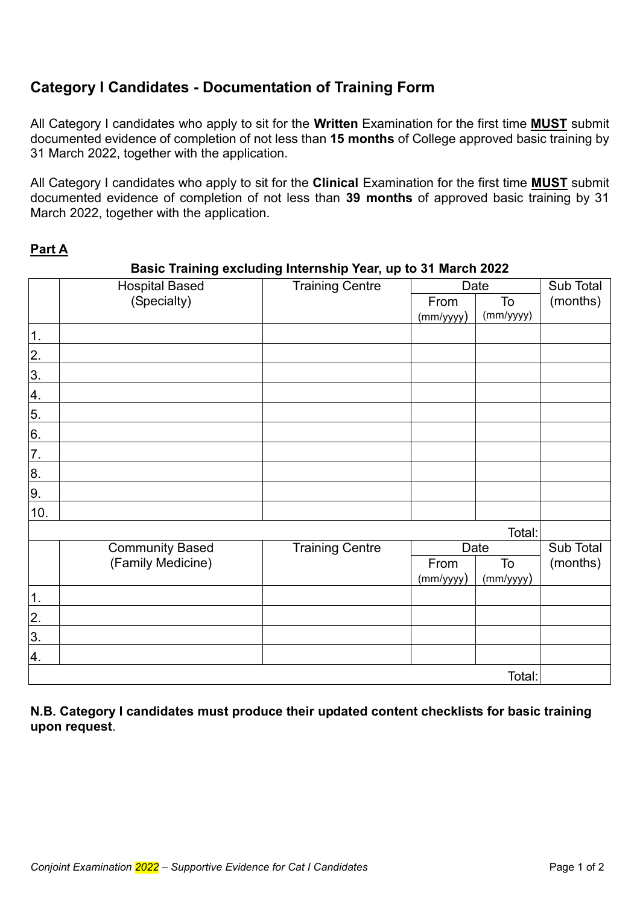# **Category I Candidates - Documentation of Training Form**

All Category I candidates who apply to sit for the **Written** Examination for the first time **MUST** submit documented evidence of completion of not less than **15 months** of College approved basic training by 31 March 2022, together with the application.

All Category I candidates who apply to sit for the **Clinical** Examination for the first time **MUST** submit documented evidence of completion of not less than **39 months** of approved basic training by 31 March 2022, together with the application.

### **Part A**

#### Hospital Based (Specialty) Training Centre | Date | Sub Total From  $\vert$  To  $\vert$  (months) (mm/yyyy) To (mm/yyyy) 1. 2. 3. 4. 5. 6. 7. 8. 9. 10. Total: Community Based (Family Medicine) Training Centre | Date | Sub Total From To (months) (mm/yyyy) To (mm/yyyy) 1. 2. 3. 4. Total:

### **Basic Training excluding Internship Year, up to 31 March 2022**

**N.B. Category I candidates must produce their updated content checklists for basic training upon request**.